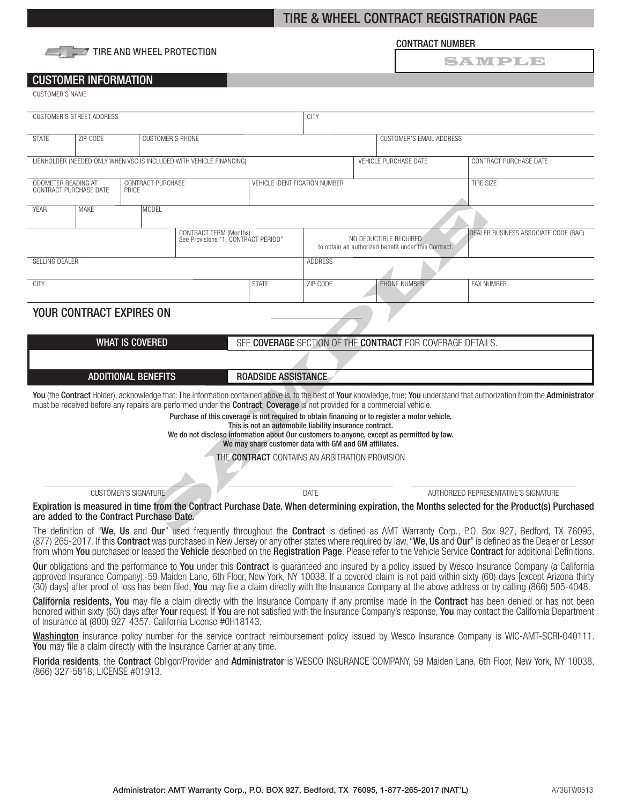# TIRE & WHEEL CONTRACT REGISTRATION PAGE



## CONTRACT NUMBER

SAWPLE

## CUSTOMER INFORMATION

CUSTOMER'S NAME

| <b>CUSTOMER'S STREET ADDRESS</b>                                                     |                                                               |                                                                      |                                                                                                                                         | <b>CITY</b>                                                                                                      |                                                                                |                       |                                                                                                                                                                                            |                                                                                                                                                                                |  |  |
|--------------------------------------------------------------------------------------|---------------------------------------------------------------|----------------------------------------------------------------------|-----------------------------------------------------------------------------------------------------------------------------------------|------------------------------------------------------------------------------------------------------------------|--------------------------------------------------------------------------------|-----------------------|--------------------------------------------------------------------------------------------------------------------------------------------------------------------------------------------|--------------------------------------------------------------------------------------------------------------------------------------------------------------------------------|--|--|
| <b>STATE</b>                                                                         | <b>CUSTOMER'S PHONE</b><br>ZIP CODE                           |                                                                      |                                                                                                                                         |                                                                                                                  | <b>CUSTOMER'S EMAIL ADDRESS</b>                                                |                       |                                                                                                                                                                                            |                                                                                                                                                                                |  |  |
|                                                                                      |                                                               | LIENHOLDER (NEEDED ONLY WHEN VSC IS INCLUDED WITH VEHICLE FINANCING) |                                                                                                                                         |                                                                                                                  |                                                                                | VEHICLE PURCHASE DATE | CONTRACT PURCHASE DATE                                                                                                                                                                     |                                                                                                                                                                                |  |  |
| ODOMETER READING AT<br>CONTRACT PURCHASE DATE<br>PRICE                               |                                                               | CONTRACT PURCHASE                                                    |                                                                                                                                         |                                                                                                                  | VEHICLE IDENTIFICATION NUMBER                                                  |                       |                                                                                                                                                                                            | <b>TIRE SIZE</b>                                                                                                                                                               |  |  |
| <b>YEAR</b>                                                                          | <b>MAKE</b>                                                   |                                                                      |                                                                                                                                         |                                                                                                                  |                                                                                |                       |                                                                                                                                                                                            |                                                                                                                                                                                |  |  |
|                                                                                      | CONTRACT TERM (Months)<br>See Provisions "1. CONTRACT PERIOD" |                                                                      |                                                                                                                                         |                                                                                                                  | NO DEDUCTIBLE REQUIRED<br>to obtain an authorized benefit under this Contract. |                       |                                                                                                                                                                                            | DEALER BUSINESS ASSOCIATE CODE (BAC)                                                                                                                                           |  |  |
| <b>SELLING DEALER</b>                                                                |                                                               |                                                                      |                                                                                                                                         |                                                                                                                  | <b>ADDRESS</b>                                                                 |                       |                                                                                                                                                                                            |                                                                                                                                                                                |  |  |
| <b>CITY</b>                                                                          |                                                               |                                                                      |                                                                                                                                         | <b>STATE</b>                                                                                                     | ZIP CODE                                                                       |                       | PHONE NUMBER                                                                                                                                                                               | <b>FAX NUMBER</b>                                                                                                                                                              |  |  |
| <b>YOUR CONTRACT EXPIRES ON</b>                                                      |                                                               |                                                                      |                                                                                                                                         |                                                                                                                  |                                                                                |                       |                                                                                                                                                                                            |                                                                                                                                                                                |  |  |
| <b>WHAT IS COVERED</b><br>SEE COVERAGE SECTION OF THE CONTRACT FOR COVERAGE DETAILS. |                                                               |                                                                      |                                                                                                                                         |                                                                                                                  |                                                                                |                       |                                                                                                                                                                                            |                                                                                                                                                                                |  |  |
|                                                                                      |                                                               |                                                                      |                                                                                                                                         |                                                                                                                  |                                                                                |                       |                                                                                                                                                                                            |                                                                                                                                                                                |  |  |
| <b>ROADSIDE ASSISTANCE</b><br><b>ADDITIONAL BENEFITS</b>                             |                                                               |                                                                      |                                                                                                                                         |                                                                                                                  |                                                                                |                       |                                                                                                                                                                                            |                                                                                                                                                                                |  |  |
|                                                                                      |                                                               |                                                                      | must be received before any repairs are performed under the <b>Contract</b> ; <b>Coverage</b> is not provided for a commercial vehicle. | This is not an automobile liability insurance contract.<br>We may share customer data with GM and GM affiliates. |                                                                                |                       | Purchase of this coverage is not required to obtain financing or to register a motor vehicle.<br>We do not disclose information about Our customers to anyone, except as permitted by law. | You (the Contract Holder), acknowledge that: The information contained above is, to the best of Your knowledge, true; You understand that authorization from the Administrator |  |  |
| THE CONTRACT CONTAINS AN ARBITRATION PROVISION                                       |                                                               |                                                                      |                                                                                                                                         |                                                                                                                  |                                                                                |                       |                                                                                                                                                                                            |                                                                                                                                                                                |  |  |
| <b>CUSTOMER'S SIGNATURE</b>                                                          |                                                               |                                                                      |                                                                                                                                         | <b>DATF</b>                                                                                                      |                                                                                |                       |                                                                                                                                                                                            | AUTHORIZED REPRESENTATIVE'S SIGNATURE                                                                                                                                          |  |  |
|                                                                                      |                                                               | are added to the Contract Purchase Date.                             |                                                                                                                                         |                                                                                                                  |                                                                                |                       |                                                                                                                                                                                            | Expiration is measured in time from the Contract Purchase Date. When determining expiration, the Months selected for the Product(s) Purchased                                  |  |  |
|                                                                                      |                                                               |                                                                      |                                                                                                                                         |                                                                                                                  |                                                                                |                       |                                                                                                                                                                                            | The definition of "We, Us and Our" used frequently throughout the Contract is defined as AMT Warranty Corp., P.O. Box 927, Bedford, TX 76095,                                  |  |  |

The definition of "We, Us and Our" used frequently throughout the Contract is defined as AMT Warranty Corp., P.O. Box 927, Bedford, TX 76095, (877) 265-2017. If this Contract was purchased in New Jersey or any other states where required by law, "We, Us and Our" is defined as the Dealer or Lessor from whom You purchased or leased the Vehicle described on the Registration Page. Please refer to the Vehicle Service Contract for additional Definitions.

Our obligations and the performance to You under this Contract is guaranteed and insured by a policy issued by Wesco Insurance Company (a California approved Insurance Company), 59 Maiden Lane, 6th Floor, New York, NY 10038. If a covered claim is not paid within sixty (60) days [except Arizona thirty (30) days] after proof of loss has been filed, You may file a claim directly with the Insurance Company at the above address or by calling (866) 505-4048.

California residents, You may file a claim directly with the Insurance Company if any promise made in the Contract has been denied or has not been honored within sixty (60) days after Your request. If You are not satisfied with the Insurance Company's response, You may contact the California Department of Insurance at (800) 927-4357. California License #0H18143.

Washington insurance policy number for the service contract reimbursement policy issued by Wesco Insurance Company is WIC-AMT-SCRI-040111. You may file a claim directly with the Insurance Carrier at any time.

Florida residents, the Contract Obligor/Provider and Administrator is WESCO INSURANCE COMPANY, 59 Maiden Lane, 6th Floor, New York, NY 10038, (866) 327-5818, LICENSE #01913.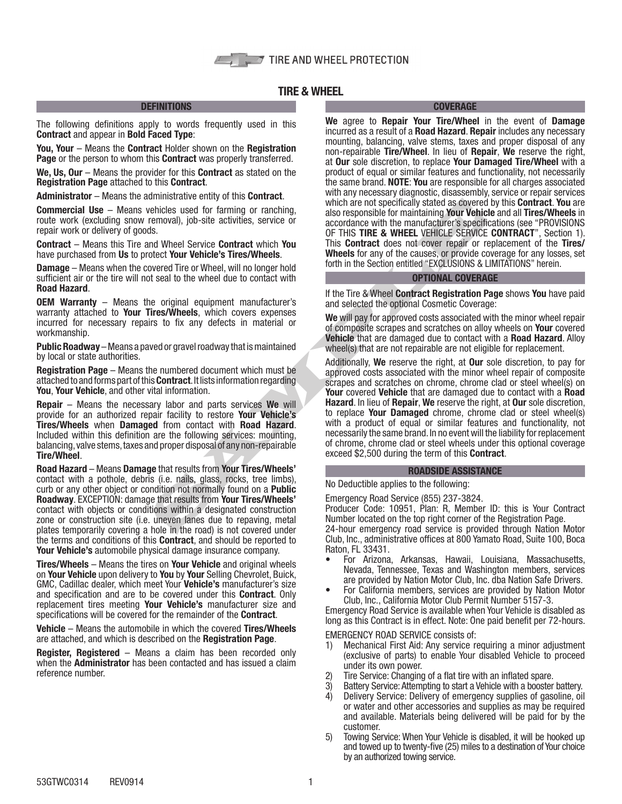# TIRE & WHEEL

## **DEFINITIONS**

The following definitions apply to words frequently used in this Contract and appear in Bold Faced Type:

You, Your – Means the Contract Holder shown on the Registration Page or the person to whom this **Contract** was properly transferred.

We, Us, Our – Means the provider for this Contract as stated on the Registration Page attached to this Contract.

Administrator – Means the administrative entity of this Contract.

Commercial Use – Means vehicles used for farming or ranching, route work (excluding snow removal), job-site activities, service or repair work or delivery of goods.

Contract – Means this Tire and Wheel Service Contract which You have purchased from Us to protect Your Vehicle's Tires/Wheels.

**Damage** – Means when the covered Tire or Wheel, will no longer hold sufficient air or the tire will not seal to the wheel due to contact with Road Hazard.

OEM Warranty – Means the original equipment manufacturer's warranty attached to Your Tires/Wheels, which covers expenses incurred for necessary repairs to fix any defects in material or workmanship.

Public Roadway – Means a paved or gravel roadway that is maintained by local or state authorities.

Registration Page – Means the numbered document which must be attached to and forms part of this Contract. It lists information regarding You, Your Vehicle, and other vital information.

Repair – Means the necessary labor and parts services We will provide for an authorized repair facility to restore Your Vehicle's Tires/Wheels when Damaged from contact with Road Hazard. Included within this definition are the following services: mounting, balancing, valve stems, taxes and proper disposal of any non-repairable Tire/Wheel.

Road Hazard – Means Damage that results from Your Tires/Wheels' contact with a pothole, debris (i.e. nails, glass, rocks, tree limbs), curb or any other object or condition not normally found on a **Public** Roadway. EXCEPTION: damage that results from Your Tires/Wheels' contact with objects or conditions within a designated construction zone or construction site (i.e. uneven lanes due to repaving, metal plates temporarily covering a hole in the road) is not covered under the terms and conditions of this Contract, and should be reported to Your Vehicle's automobile physical damage insurance company.

Tires/Wheels – Means the tires on Your Vehicle and original wheels on Your Vehicle upon delivery to You by Your Selling Chevrolet, Buick, GMC, Cadillac dealer, which meet Your Vehicle's manufacturer's size and specification and are to be covered under this Contract. Only replacement tires meeting Your Vehicle's manufacturer size and specifications will be covered for the remainder of the Contract.

Vehicle – Means the automobile in which the covered Tires/Wheels are attached, and which is described on the Registration Page.

Register, Registered – Means a claim has been recorded only when the **Administrator** has been contacted and has issued a claim reference number.

## **COVERAGE**

We agree to Repair Your Tire/Wheel in the event of Damage incurred as a result of a **Road Hazard. Repair** includes any necessary mounting, balancing, valve stems, taxes and proper disposal of any non-repairable Tire/Wheel. In lieu of Repair, We reserve the right, at Our sole discretion, to replace Your Damaged Tire/Wheel with a product of equal or similar features and functionality, not necessarily the same brand. NOTE: You are responsible for all charges associated with any necessary diagnostic, disassembly, service or repair services which are not specifically stated as covered by this **Contract**. You are also responsible for maintaining Your Vehicle and all Tires/Wheels in accordance with the manufacturer's specifications (see "PROVISIONS OF THIS TIRE & WHEEL VEHICLE SERVICE CONTRACT", Section 1). This Contract does not cover repair or replacement of the Tires/ Wheels for any of the causes, or provide coverage for any losses, set forth in the Section entitled "EXCLUSIONS & LIMITATIONS" herein.

## OPTIONAL COVERAGE

If the Tire & Wheel Contract Registration Page shows You have paid and selected the optional Cosmetic Coverage:

We will pay for approved costs associated with the minor wheel repair of composite scrapes and scratches on alloy wheels on Your covered Vehicle that are damaged due to contact with a Road Hazard. Alloy wheel(s) that are not repairable are not eligible for replacement.

which are not specifically stated as covered the procedured with the manufacture respectively be the service contract which as the manufacture is peeding to the manufacture is peeding to the manufacture is peeding to the m Additionally, We reserve the right, at **Our** sole discretion, to pay for approved costs associated with the minor wheel repair of composite scrapes and scratches on chrome, chrome clad or steel wheel(s) on Your covered Vehicle that are damaged due to contact with a Road Hazard. In lieu of Repair, We reserve the right, at Our sole discretion, to replace Your Damaged chrome, chrome clad or steel wheel(s) with a product of equal or similar features and functionality, not necessarily the same brand. In no event will the liability for replacement of chrome, chrome clad or steel wheels under this optional coverage exceed \$2,500 during the term of this Contract.

## ROADSIDE ASSISTANCE

No Deductible applies to the following:

Emergency Road Service (855) 237-3824.

Producer Code: 10951, Plan: R, Member ID: this is Your Contract Number located on the top right corner of the Registration Page.

24-hour emergency road service is provided through Nation Motor Club, Inc., administrative offices at 800 Yamato Road, Suite 100, Boca Raton, FL 33431.

- For Arizona, Arkansas, Hawaii, Louisiana, Massachusetts, Nevada, Tennessee, Texas and Washington members, services are provided by Nation Motor Club, Inc. dba Nation Safe Drivers.
- For California members, services are provided by Nation Motor Club, Inc., California Motor Club Permit Number 5157-3.

Emergency Road Service is available when Your Vehicle is disabled as long as this Contract is in effect. Note: One paid benefit per 72-hours.

EMERGENCY ROAD SERVICE consists of:

- 1) Mechanical First Aid: Any service requiring a minor adjustment (exclusive of parts) to enable Your disabled Vehicle to proceed under its own power.
- 2) Tire Service: Changing of a flat tire with an inflated spare.
- 3) Battery Service: Attempting to start a Vehicle with a booster battery.<br>4) Delivery Service: Delivery of emergency supplies of gasoline, oil
- 4) Delivery Service: Delivery of emergency supplies of gasoline, oil or water and other accessories and supplies as may be required and available. Materials being delivered will be paid for by the customer.
- 5) Towing Service: When Your Vehicle is disabled, it will be hooked up and towed up to twenty-five (25) miles to a destination of Your choice by an authorized towing service.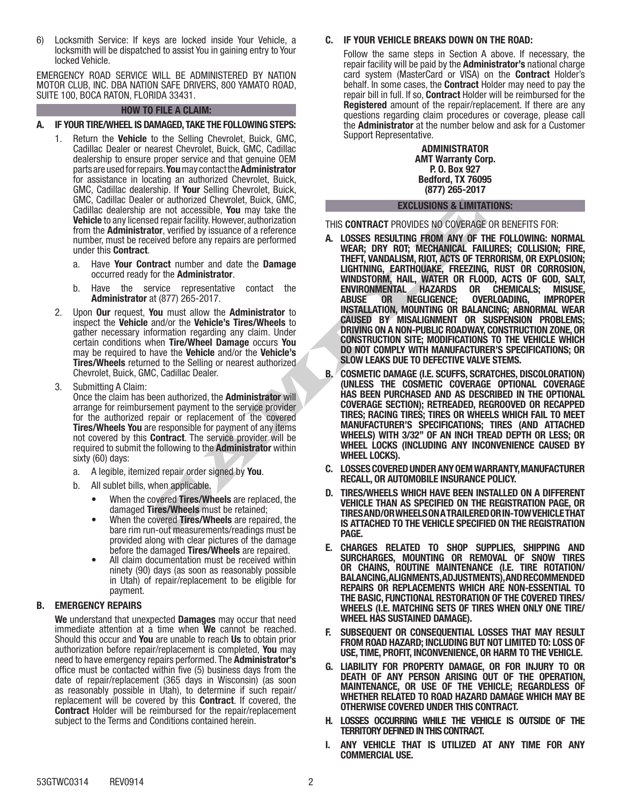6) Locksmith Service: If keys are locked inside Your Vehicle, a locksmith will be dispatched to assist You in gaining entry to Your locked Vehicle.

EMERGENCY ROAD SERVICE WILL BE ADMINISTERED BY NATION MOTOR CLUB, INC. DBA NATION SAFE DRIVERS, 800 YAMATO ROAD, SUITE 100, BOCA RATON, FLORIDA 33431.

## HOW TO FILE A CLAIM:

## A. IF YOUR TIRE/WHEEL IS DAMAGED, TAKE THE FOLLOWING STEPS:

- 1. Return the Vehicle to the Selling Chevrolet, Buick, GMC, Cadillac Dealer or nearest Chevrolet, Buick, GMC, Cadillac dealership to ensure proper service and that genuine OEM parts are used for repairs. You may contact the Administrator for assistance in locating an authorized Chevrolet, Buick, GMC, Cadillac dealership. If Your Selling Chevrolet, Buick, GMC, Cadillac Dealer or authorized Chevrolet, Buick, GMC, Cadillac dealership are not accessible, You may take the Vehicle to any licensed repair facility. However, authorization from the Administrator, verified by issuance of a reference number, must be received before any repairs are performed under this Contract.
	- a. Have Your Contract number and date the Damage occurred ready for the Administrator.
	- b. Have the service representative contact the Administrator at (877) 265-2017.
- 2. Upon **Our** request, You must allow the **Administrator** to inspect the Vehicle and/or the Vehicle's Tires/Wheels to gather necessary information regarding any claim. Under certain conditions when Tire/Wheel Damage occurs You may be required to have the Vehicle and/or the Vehicle's Tires/Wheels returned to the Selling or nearest authorized Chevrolet, Buick, GMC, Cadillac Dealer.
- 3. Submitting A Claim:

Once the claim has been authorized, the **Administrator** will arrange for reimbursement payment to the service provider for the authorized repair or replacement of the covered **Tires/Wheels You** are responsible for payment of any items not covered by this Contract. The service provider will be required to submit the following to the Administrator within sixty (60) days:

- a. A legible, itemized repair order signed by You.
- b. All sublet bills, when applicable.
	- When the covered Tires/Wheels are replaced, the damaged Tires/Wheels must be retained;
	- When the covered Tires/Wheels are repaired, the bare rim run-out measurements/readings must be provided along with clear pictures of the damage before the damaged Tires/Wheels are repaired.
	- All claim documentation must be received within ninety (90) days (as soon as reasonably possible in Utah) of repair/replacement to be eligible for payment.

## B. EMERGENCY REPAIRS

We understand that unexpected **Damages** may occur that need immediate attention at a time when We cannot be reached. Should this occur and You are unable to reach Us to obtain prior authorization before repair/replacement is completed, You may need to have emergency repairs performed. The Administrator's office must be contacted within five (5) business days from the date of repair/replacement (365 days in Wisconsin) (as soon as reasonably possible in Utah), to determine if such repair/ replacement will be covered by this Contract. If covered, the Contract Holder will be reimbursed for the repair/replacement subject to the Terms and Conditions contained herein.

## C. IF YOUR VEHICLE BREAKS DOWN ON THE ROAD:

Follow the same steps in Section A above. If necessary, the repair facility will be paid by the **Administrator's** national charge card system (MasterCard or VISA) on the Contract Holder's behalf. In some cases, the **Contract** Holder may need to pay the repair bill in full. If so, Contract Holder will be reimbursed for the Registered amount of the repair/replacement. If there are any questions regarding claim procedures or coverage, please call the Administrator at the number below and ask for a Customer Support Representative.

> ADMINISTRATOR AMT Warranty Corp. P. O. Box 927 Bedford, TX 76095 (877) 265-2017

### EXCLUSIONS & LIMITATIONS:

THIS CONTRACT PROVIDES NO COVERAGE OR BENEFITS FOR:

- r or automazed Uneverlap and the Seling or and the serve in the server of a server alternative the particular technical terms of the Administrator and the Damage of a reference eived before any repairs are performed **A.** L A. LOSSES RESULTING FROM ANY OF THE FOLLOWING: NORMAL WEAR; DRY ROT; MECHANICAL FAILURES; COLLISION; FIRE, THEFT, VANDALISM, RIOT, ACTS OF TERRORISM, OR EXPLOSION; LIGHTNING, EARTHQUAKE, FREEZING, RUST OR CORROSION, WINDSTORM, HAIL, WATER OR FLOOD, ACTS OF GOD, SALT,<br>Environmental Hazards or Chemicals; Misuse, ENVIRONMENTAL HAZARDS OR CHEMICALS; MISUSE, OVERLOADING, INSTALLATION, MOUNTING OR BALANCING; ABNORMAL WEAR CAUSED BY MISALIGNMENT OR SUSPENSION PROBLEMS; DRIVING ON A NON-PUBLIC ROADWAY, CONSTRUCTION ZONE, OR CONSTRUCTION SITE; MODIFICATIONS TO THE VEHICLE WHICH DO NOT COMPLY WITH MANUFACTURER'S SPECIFICATIONS; OR SLOW LEAKS DUE TO DEFECTIVE VALVE STEMS.
	- B. COSMETIC DAMAGE (I.E. SCUFFS, SCRATCHES, DISCOLORATION) (UNLESS THE COSMETIC COVERAGE OPTIONAL COVERAGE HAS BEEN PURCHASED AND AS DESCRIBED IN THE OPTIONAL COVERAGE SECTION); RETREADED, REGROOVED OR RECAPPED TIRES; RACING TIRES; TIRES OR WHEELS WHICH FAIL TO MEET MANUFACTURER'S SPECIFICATIONS; TIRES (AND ATTACHED WHEELS) WITH 3/32" OF AN INCH TREAD DEPTH OR LESS; OR WHEEL LOCKS (INCLUDING ANY INCONVENIENCE CAUSED BY WHEEL LOCKS).
	- C. LOSSES COVERED UNDER ANY OEM WARRANTY, MANUFACTURER RECALL, OR AUTOMOBILE INSURANCE POLICY.
	- TIRES/WHEELS WHICH HAVE BEEN INSTALLED ON A DIFFERENT VEHICLE THAN AS SPECIFIED ON THE REGISTRATION PAGE, OR TIRES AND/OR WHEELS ON A TRAILERED OR IN-TOW VEHICLE THAT IS ATTACHED TO THE VEHICLE SPECIFIED ON THE REGISTRATION PAGE.
	- E. CHARGES RELATED TO SHOP SUPPLIES, SHIPPING AND SURCHARGES, MOUNTING OR REMOVAL OF SNOW TIRES OR CHAINS, ROUTINE MAINTENANCE (I.E. TIRE ROTATION/ BALANCING, ALIGNMENTS, ADJUSTMENTS), AND RECOMMENDED REPAIRS OR REPLACEMENTS WHICH ARE NON-ESSENTIAL TO THE BASIC, FUNCTIONAL RESTORATION OF THE COVERED TIRES/ WHEELS (I.E. MATCHING SETS OF TIRES WHEN ONLY ONE TIRE/ WHEEL HAS SUSTAINED DAMAGE).
	- SUBSEQUENT OR CONSEQUENTIAL LOSSES THAT MAY RESULT FROM ROAD HAZARD; INCLUDING BUT NOT LIMITED TO: LOSS OF USE, TIME, PROFIT, INCONVENIENCE, OR HARM TO THE VEHICLE.
	- G. LIABILITY FOR PROPERTY DAMAGE, OR FOR INJURY TO OR DEATH OF ANY PERSON ARISING OUT OF THE OPERATION, MAINTENANCE, OR USE OF THE VEHICLE; REGARDLESS OF WHETHER RELATED TO ROAD HAZARD DAMAGE WHICH MAY BE OTHERWISE COVERED UNDER THIS CONTRACT.
	- H. LOSSES OCCURRING WHILE THE VEHICLE IS OUTSIDE OF THE TERRITORY DEFINED IN THIS CONTRACT.
	- I. ANY VEHICLE THAT IS UTILIZED AT ANY TIME FOR ANY COMMERCIAL USE.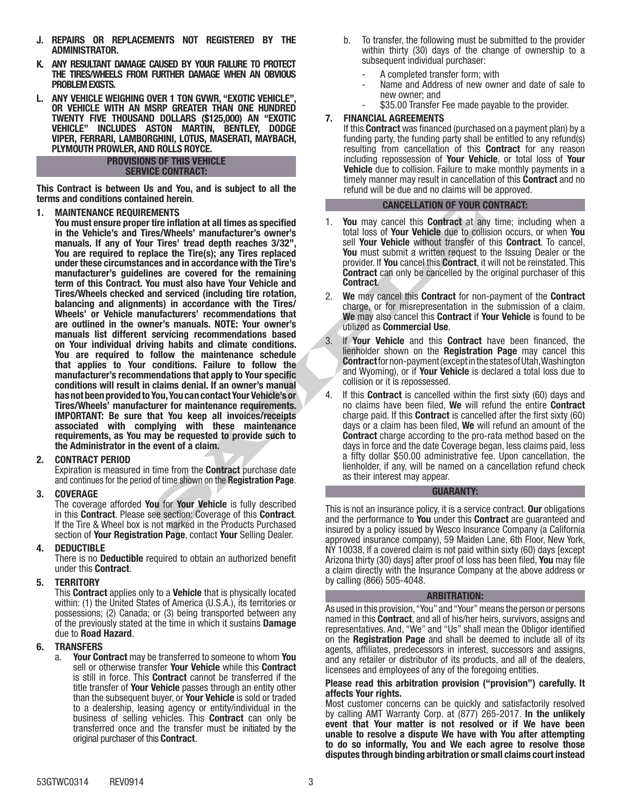- J. REPAIRS OR REPLACEMENTS NOT REGISTERED BY THE ADMINISTRATOR.
- K. ANY RESULTANT DAMAGE CAUSED BY YOUR FAILURE TO PROTECT THE TIRES/WHEELS FROM FURTHER DAMAGE WHEN AN OBVIOUS PROBLEM EXISTS.
- L. ANY VEHICLE WEIGHING OVER 1 TON GVWR, "EXOTIC VEHICLE" OR VEHICLE WITH AN MSRP GREATER THAN ONE HUNDRED TWENTY FIVE THOUSAND DOLLARS (\$125,000) AN "EXOTIC VEHICLE" INCLUDES ASTON MARTIN, BENTLEY, DODGE VIPER, FERRARI, LAMBORGHINI, LOTUS, MASERATI, MAYBACH, PLYMOUTH PROWLER, AND ROLLS ROYCE.

## PROVISIONS OF THIS VEHICLE SERVICE CONTRACT:

This Contract is between Us and You, and is subject to all the terms and conditions contained herein.

1. MAINTENANCE REQUIREMENTS

ned merelines are perfect to the maintenance and the performance to You must all times as specified<br>
SCANPLET THES' tread depth reaches 3/32",<br>
Sell Your Wehicle without transfer of the Processian maccordance with the Tire You must ensure proper tire inflation at all times as specified in the Vehicle's and Tires/Wheels' manufacturer's owner's manuals. If any of Your Tires' tread depth reaches 3/32" You are required to replace the Tire(s); any Tires replaced under these circumstances and in accordance with the Tire's manufacturer's guidelines are covered for the remaining term of this Contract. You must also have Your Vehicle and Tires/Wheels checked and serviced (including tire rotation, balancing and alignments) in accordance with the Tires/ Wheels' or Vehicle manufacturers' recommendations that are outlined in the owner's manuals. NOTE: Your owner's manuals list different servicing recommendations based on Your individual driving habits and climate conditions. You are required to follow the maintenance schedule that applies to Your conditions. Failure to follow the manufacturer's recommendations that apply to Your specific conditions will result in claims denial. If an owner's manual has not been provided to You, You can contact Your Vehicle's or Tires/Wheels' manufacturer for maintenance requirements. IMPORTANT: Be sure that You keep all invoices/receipts associated with complying with these maintenance requirements, as You may be requested to provide such to the Administrator in the event of a claim.

## 2. CONTRACT PERIOD

Expiration is measured in time from the Contract purchase date and continues for the period of time shown on the Registration Page.

## 3. COVERAGE

The coverage afforded You for Your Vehicle is fully described in this Contract. Please see section: Coverage of this Contract. If the Tire & Wheel box is not marked in the Products Purchased section of Your Registration Page, contact Your Selling Dealer.

## 4. DEDUCTIBLE

There is no Deductible required to obtain an authorized benefit under this Contract.

## 5. TERRITORY

This Contract applies only to a Vehicle that is physically located within: (1) the United States of America (U.S.A.), its territories or possessions; (2) Canada; or (3) being transported between any of the previously stated at the time in which it sustains Damage due to Road Hazard.

## 6. TRANSFERS

a. Your Contract may be transferred to someone to whom You sell or otherwise transfer **Your Vehicle** while this **Contract** is still in force. This Contract cannot be transferred if the title transfer of Your Vehicle passes through an entity other than the subsequent buyer, or Your Vehicle is sold or traded to a dealership, leasing agency or entity/individual in the business of selling vehicles. This **Contract** can only be transferred once and the transfer must be initiated by the original purchaser of this Contract.

- b. To transfer, the following must be submitted to the provider within thirty (30) days of the change of ownership to a subsequent individual purchaser:
	- A completed transfer form; with
	- Name and Address of new owner and date of sale to new owner; and
	- \$35.00 Transfer Fee made payable to the provider.

## 7. FINANCIAL AGREEMENTS

If this Contract was financed (purchased on a payment plan) by a funding party, the funding party shall be entitled to any refund(s) resulting from cancellation of this **Contract** for any reason including repossession of Your Vehicle, or total loss of Your **Vehicle** due to collision. Failure to make monthly payments in a timely manner may result in cancellation of this **Contract** and no refund will be due and no claims will be approved.

## CANCELLATION OF YOUR CONTRACT:

- 1. You may cancel this **Contract** at any time; including when a total loss of Your Vehicle due to collision occurs, or when You sell Your Vehicle without transfer of this Contract. To cancel, You must submit a written request to the Issuing Dealer or the provider. If You cancel this Contract, it will not be reinstated. This Contract can only be cancelled by the original purchaser of this Contract.
- 2. We may cancel this **Contract** for non-payment of the **Contract** charge, or for misrepresentation in the submission of a claim. We may also cancel this **Contract** if **Your Vehicle** is found to be utilized as Commercial Use.
- 3. If Your Vehicle and this Contract have been financed, the lienholder shown on the Registration Page may cancel this Contract for non-payment (except in the states of Utah, Washington and Wyoming), or if Your Vehicle is declared a total loss due to collision or it is repossessed.
- 4. If this **Contract** is cancelled within the first sixty (60) days and no claims have been filed, We will refund the entire Contract charge paid. If this Contract is cancelled after the first sixty (60) days or a claim has been filed, We will refund an amount of the Contract charge according to the pro-rata method based on the days in force and the date Coverage began, less claims paid, less a fifty dollar \$50.00 administrative fee. Upon cancellation, the lienholder, if any, will be named on a cancellation refund check as their interest may appear.

## GUARANTY:

This is not an insurance policy, it is a service contract. Our obligations and the performance to You under this Contract are guaranteed and insured by a policy issued by Wesco Insurance Company (a California approved insurance company), 59 Maiden Lane, 6th Floor, New York, NY 10038, If a covered claim is not paid within sixty (60) days [except Arizona thirty (30) days] after proof of loss has been filed, You may file a claim directly with the Insurance Company at the above address or by calling (866) 505-4048.

## ARBITRATION:

As used in this provision, "You" and "Your" means the person or persons named in this Contract, and all of his/her heirs, survivors, assigns and representatives. And, "We" and "Us" shall mean the Obligor identified on the Registration Page and shall be deemed to include all of its agents, affiliates, predecessors in interest, successors and assigns, and any retailer or distributor of its products, and all of the dealers, licensees and employees of any of the foregoing entities.

### Please read this arbitration provision ("provision") carefully. It affects Your rights.

Most customer concerns can be quickly and satisfactorily resolved by calling AMT Warranty Corp. at (877) 265-2017. In the unlikely event that Your matter is not resolved or if We have been unable to resolve a dispute We have with You after attempting to do so informally, You and We each agree to resolve those disputes through binding arbitration or small claims court instead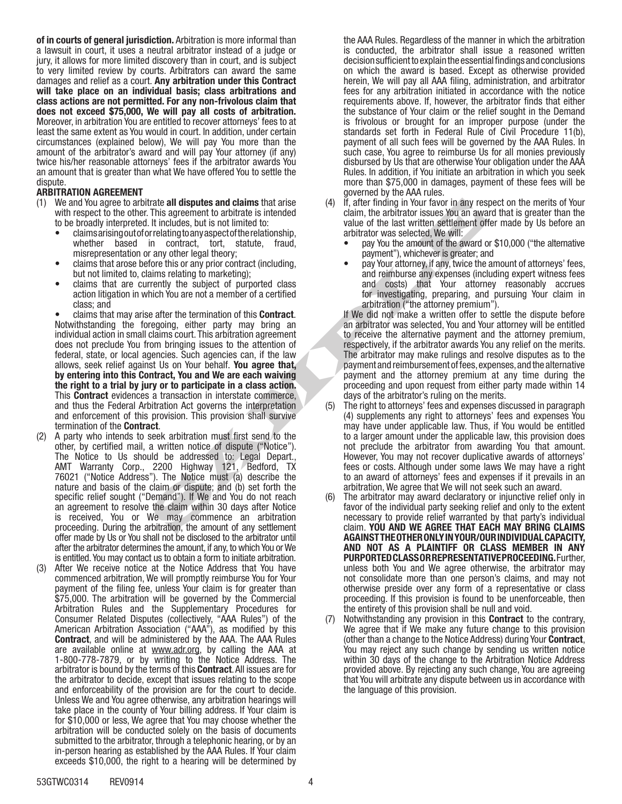of in courts of general jurisdiction. Arbitration is more informal than a lawsuit in court, it uses a neutral arbitrator instead of a judge or jury, it allows for more limited discovery than in court, and is subject to very limited review by courts. Arbitrators can award the same damages and relief as a court. Any arbitration under this Contract will take place on an individual basis; class arbitrations and class actions are not permitted. For any non-frivolous claim that does not exceed \$75,000, We will pay all costs of arbitration. Moreover, in arbitration You are entitled to recover attorneys' fees to at least the same extent as You would in court. In addition, under certain circumstances (explained below), We will pay You more than the amount of the arbitrator's award and will pay Your attorney (if any) twice his/her reasonable attorneys' fees if the arbitrator awards You an amount that is greater than what We have offered You to settle the dispute.

## ARBITRATION AGREEMENT

- (1) We and You agree to arbitrate all disputes and claims that arise with respect to the other. This agreement to arbitrate is intended to be broadly interpreted. It includes, but is not limited to:
	- claims arising out of or relating to any aspect of the relationship, whether based in contract, tort, statute, fraud, misrepresentation or any other legal theory;
	- claims that arose before this or any prior contract (including, but not limited to, claims relating to marketing);
	- claims that are currently the subject of purported class action litigation in which You are not a member of a certified class; and

This agreement to arbitratic is the rigin in the rigin in the research to arbitrate is intended<br>
This agreement to arbitrate is intended to:<br>
This agreement to arbitrate is:<br>
It is not limited to:<br>
This agreement to arbit • claims that may arise after the termination of this Contract. Notwithstanding the foregoing, either party may bring an individual action in small claims court. This arbitration agreement does not preclude You from bringing issues to the attention of federal, state, or local agencies. Such agencies can, if the law allows, seek relief against Us on Your behalf. You agree that, by entering into this Contract, You and We are each waiving the right to a trial by jury or to participate in a class action. This Contract evidences a transaction in interstate commerce, and thus the Federal Arbitration Act governs the interpretation and enforcement of this provision. This provision shall survive termination of the Contract.

- (2) A party who intends to seek arbitration must first send to the other, by certified mail, a written notice of dispute ("Notice"). The Notice to Us should be addressed to: Legal Depart., AMT Warranty Corp., 2200 Highway 121, Bedford, TX 76021 ("Notice Address"). The Notice must (a) describe the nature and basis of the claim or dispute; and (b) set forth the specific relief sought ("Demand"). If We and You do not reach an agreement to resolve the claim within 30 days after Notice is received, You or We may commence an arbitration proceeding. During the arbitration, the amount of any settlement offer made by Us or You shall not be disclosed to the arbitrator until after the arbitrator determines the amount, if any, to which You or We is entitled. You may contact us to obtain a form to initiate arbitration.
- (3) After We receive notice at the Notice Address that You have commenced arbitration, We will promptly reimburse You for Your payment of the filing fee, unless Your claim is for greater than \$75,000. The arbitration will be governed by the Commercial Arbitration Rules and the Supplementary Procedures for Consumer Related Disputes (collectively, "AAA Rules") of the American Arbitration Association ("AAA"), as modified by this Contract, and will be administered by the AAA. The AAA Rules are available online at www.adr.org, by calling the AAA at 1-800-778-7879, or by writing to the Notice Address. The arbitrator is bound by the terms of this Contract. All issues are for the arbitrator to decide, except that issues relating to the scope and enforceability of the provision are for the court to decide. Unless We and You agree otherwise, any arbitration hearings will take place in the county of Your billing address. If Your claim is for \$10,000 or less, We agree that You may choose whether the arbitration will be conducted solely on the basis of documents submitted to the arbitrator, through a telephonic hearing, or by an in-person hearing as established by the AAA Rules. If Your claim exceeds \$10,000, the right to a hearing will be determined by

the AAA Rules. Regardless of the manner in which the arbitration is conducted, the arbitrator shall issue a reasoned written decision sufficient to explain the essential findings and conclusions on which the award is based. Except as otherwise provided herein, We will pay all AAA filing, administration, and arbitrator fees for any arbitration initiated in accordance with the notice requirements above. If, however, the arbitrator finds that either the substance of Your claim or the relief sought in the Demand is frivolous or brought for an improper purpose (under the standards set forth in Federal Rule of Civil Procedure 11(b), payment of all such fees will be governed by the AAA Rules. In such case, You agree to reimburse Us for all monies previously disbursed by Us that are otherwise Your obligation under the AAA Rules. In addition, if You initiate an arbitration in which you seek more than \$75,000 in damages, payment of these fees will be governed by the AAA rules.

- If, after finding in Your favor in any respect on the merits of Your claim, the arbitrator issues You an award that is greater than the value of the last written settlement offer made by Us before an arbitrator was selected, We will:
	- pay You the amount of the award or \$10,000 ("the alternative payment"), whichever is greater; and
	- pay Your attorney, if any, twice the amount of attorneys' fees, and reimburse any expenses (including expert witness fees and costs) that Your attorney reasonably accrues for investigating, preparing, and pursuing Your claim in arbitration ("the attorney premium").

If We did not make a written offer to settle the dispute before an arbitrator was selected, You and Your attorney will be entitled to receive the alternative payment and the attorney premium, respectively, if the arbitrator awards You any relief on the merits. The arbitrator may make rulings and resolve disputes as to the payment and reimbursement of fees, expenses, and the alternative payment and the attorney premium at any time during the proceeding and upon request from either party made within 14 days of the arbitrator's ruling on the merits.

- (5) The right to attorneys' fees and expenses discussed in paragraph (4) supplements any right to attorneys' fees and expenses You may have under applicable law. Thus, if You would be entitled to a larger amount under the applicable law, this provision does not preclude the arbitrator from awarding You that amount. However, You may not recover duplicative awards of attorneys' fees or costs. Although under some laws We may have a right to an award of attorneys' fees and expenses if it prevails in an arbitration, We agree that We will not seek such an award.
- (6) The arbitrator may award declaratory or injunctive relief only in favor of the individual party seeking relief and only to the extent necessary to provide relief warranted by that party's individual claim. YOU AND WE AGREE THAT EACH MAY BRING CLAIMS AGAINST THE OTHER ONLY IN YOUR/OUR INDIVIDUAL CAPACITY, AND NOT AS A PLAINTIFF OR CLASS MEMBER IN ANY PURPORTED CLASS OR REPRESENTATIVE PROCEEDING. Further, unless both You and We agree otherwise, the arbitrator may not consolidate more than one person's claims, and may not otherwise preside over any form of a representative or class proceeding. If this provision is found to be unenforceable, then the entirety of this provision shall be null and void.
- (7) Notwithstanding any provision in this Contract to the contrary, We agree that if We make any future change to this provision (other than a change to the Notice Address) during Your Contract, You may reject any such change by sending us written notice within 30 days of the change to the Arbitration Notice Address provided above. By rejecting any such change, You are agreeing that You will arbitrate any dispute between us in accordance with the language of this provision.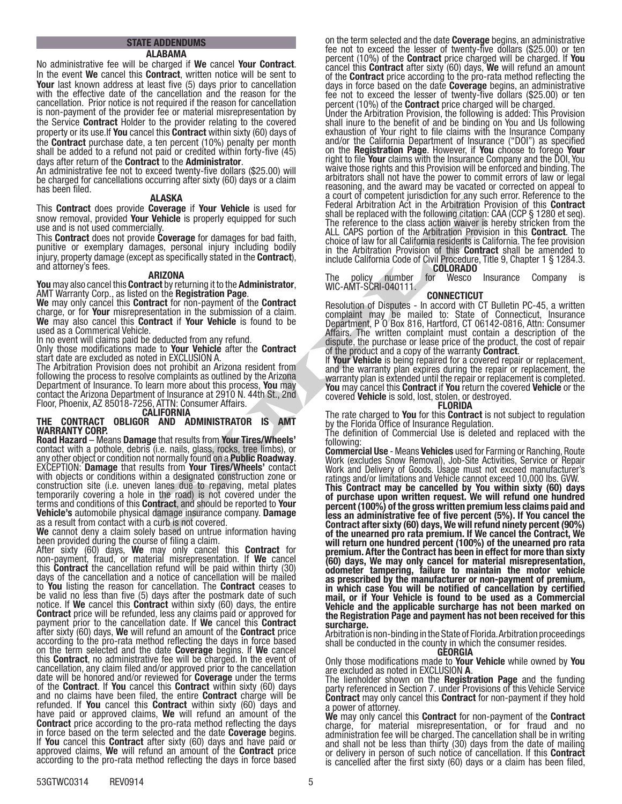# STATE ADDENDUMS

ALABAMA

No administrative fee will be charged if We cancel Your Contract. In the event We cancel this **Contract**, written notice will be sent to Your last known address at least five (5) days prior to cancellation with the effective date of the cancellation and the reason for the cancellation. Prior notice is not required if the reason for cancellation is non-payment of the provider fee or material misrepresentation by the Service Contract Holder to the provider relating to the covered property or its use. If You cancel this Contract within sixty (60) days of the Contract purchase date, a ten percent (10%) penalty per month shall be added to a refund not paid or credited within forty-five (45)

days after return of the **Contract** to the **Administrator**.<br>An administrative fee not to exceed twenty-five dollars (\$25.00) will be charged for cancellations occurring after sixty (60) days or a claim has been filed.

### ALASKA

This Contract does provide Coverage if Your Vehicle is used for snow removal, provided Your Vehicle is properly equipped for such use and is not used commercially.

This Contract does not provide Coverage for damages for bad faith, punitive or exemplary damages, personal injury including bodily injury, property damage (except as specifically stated in the **Contract**), and attorney's fees.<br>**ARIZONA**<br>**You** may also cancel this **Contract** by returning it to the **Administrator**,

AMT Warranty Corp., as listed on the Registration Page.<br>We may only cancel this Contract for non-payment of the Contract charge, or for **Your** misrepresentation in the submission of a claim. We may also cancel this **Contract** if Your Vehicle is found to be used as a Commerical Vehicle.

In no event will claims paid be deducted from any refund.

Only those modifications made to Your Vehicle after the Contract start date are excluded as noted in EXCLUSION A.

The Arbitration Provision does not prohibit an Arizona resident from following the process to resolve complaints as outlined by the Arizona Department of Insurance. To learn more about this process, You may contact the Arizona Department of Insurance at 2910 N. 44th St., 2nd Floor, Phoenix, AZ 85018-7256, ATTN: Consumer Affairs.

# CALIFORNIA

### THE CONTRACT OBLIGOR AND ADMINISTRATOR IS AMT WARRANTY CORP.

ALASNA<br>
ALASNA Coverage if Your Vehicle is used for<br>
Coverage if Your Vehicle is used for<br>
Coverage if Your Vehicle is used for<br>
The defence of the discussion of the Achitration<br>
ally.<br>
Although colling the contract<br>
ally. Road Hazard – Means Damage that results from Your Tires/Wheels' contact with a pothole, debris (i.e. nails, glass, rocks, tree limbs), or any other object or condition not normally found on a **Public Roadway**.<br>EXCEPTION: **Damage** that results from **Your Tires/Wheels'** contact with objects or conditions within a designated construction zone or construction site (i.e. uneven lanes due to repaving, metal plates temporarily covering a hole in the road) is not covered under the terms and conditions of this **Contract**, and should be reported to Your Vehicle's automobile physical damage insurance company. Damage as a result from contact with a curb is not covered.

We cannot deny a claim solely based on untrue information having been provided during the course of filing a claim.

After sixty (60) days, We may only cancel this Contract for non-payment, fraud, or material misrepresentation. If We cancel this Contract the cancellation refund will be paid within thirty (30) days of the cancellation and a notice of cancellation will be mailed to You listing the reason for cancellation. The Contract ceases to be valid no less than five  $(5)$  days after the postmark date of such notice. If **We** cancel this **Contract** within sixty  $(60)$  days, the entire notice. If **We** cancel this **Contract** within sixty (60) days, the entire<br>**Contract** price will be refunded, less any claims paid or approved for payment prior to the cancellation date. If We cancel this Contract after sixty (60) days, We will refund an amount of the Contract price according to the pro-rata method reflecting the days in force based on the term selected and the date Coverage begins. If We cancel this Contract, no administrative fee will be charged. In the event of cancellation, any claim filed and/or approved prior to the cancellation date will be honored and/or reviewed for **Coverage** under the terms of the **Contract**. If **You** cancel this **Contract** within sixty (60) days and no claims have been filed, the entire **Contract** charge will be refunded. If **You** cancel this **Contract** within sixty (60) days and refunded. have paid or approved claims, **We** will refund an amount of the **Contract** price according to the pro-rata method reflecting the days in force based on the term selected and the date **Coverage** begins. If **You** cancel this **Contract** after sixty (60) days and have paid or approved claims, We will refund an amount of the Contract price according to the pro-rata method reflecting the days in force based

on the term selected and the date **Coverage** begins, an administrative fee not to exceed the lesser of twenty-five dollars (\$25.00) or ten percent (10%) of the **Contract** price charged will be charged. If You cancel this **Contract** after sixty (60) days, We will refund an amount of the **Contract** price according to the pro-rata method reflecting the days in force based on the date **Coverage** begins, an administrative fee not to exceed the lesser of twenty-five dollars (\$25.00) or ten

percent (10%) of the **Contract** price charged will be charged.<br>Under the Arbitration Provision, the following is added: This Provision shall inure to the benefit of and be binding on You and Us following exhaustion of Your right to file claims with the Insurance Company and/or the California Department of Insurance ("DOI") as specified on the Registration Page. However, if You choose to forego Your right to file Your claims with the Insurance Company and the DOI, You waive those rights and this Provision will be enforced and binding. The arbitrators shall not have the power to commit errors of law or legal reasoning, and the award may be vacated or corrected on appeal to a court of competent jurisdiction for any such error. Reference to the Federal Arbitration Act in the Arbitration Provision of this Contract shall be replaced with the following citation: CAA (CCP § 1280 et seq). The reference to the class action waiver is hereby stricken from the ALL CAPS portion of the Arbitration Provision in this **Contract**. The choice of law for all California residents is California. The fee provision in the Arbitration Provision of this Contract shall be amended to include California Code of Civil Procedure, Title 9, Chapter 1 § 1284.3.<br>COLORADO

The policy number for Wesco Insurance Company is WIC-AMT-SCRI-040111.

## **CONNECTICUT**

Resolution of Disputes - In accord with CT Bulletin PC-45, a written complaint may be mailed to: State of Connecticut, Insurance Department, P O Box 816, Hartford, CT 06142-0816, Attn: Consumer Affairs. The written complaint must contain a description of the dispute, the purchase or lease price of the product, the cost of repair of the product and a copy of the warranty **Contract**.<br>If Your Vehicle is being repaired for a covered repair or replacement,

and the warranty plan expires during the repair or replacement, the warranty plan is extended until the repair or replacement is completed. You may cancel this Contract if You return the covered Vehicle or the covered Vehicle is sold, lost, stolen, or destroyed. FLORIDA

The rate charged to **You** for this **Contract** is not subject to regulation by the Florida Office of Insurance Regulation.

The definition of Commercial Use is deleted and replaced with the

following:<br>**Commercial Use** - Means **Vehicles** used for Farming or Ranching, Route **Commercial Use -** Means **Vehicles** used for Farming or Ranching, Route<br>Work (excludes Snow Removal), Job-Site Activities, Service or Repair Work and Delivery of Goods. Usage must not exceed manufacturer's ratings and/or limitations and Vehicle cannot exceed 10,000 lbs. GVW.

This Contract may be cancelled by You within sixty (60) days of purchase upon written request. We will refund one hundred percent (100%) of the gross written premium less claims paid and less an administrative fee of five percent (5%). If You cancel the Contract after sixty (60) days, We will refund ninety percent (90%) of the unearned pro rata premium. If We cancel the Contract, We will return one hundred percent (100%) of the unearned pro rata premium. After the Contract has been in effect for more than sixty (60) days, We may only cancel for material misrepresentation, odometer tampering, failure to maintain the motor vehicle as prescribed by the manufacturer or non-payment of premium, in which case You will be notified of cancellation by certified mail, or if Your Vehicle is found to be used as a Commercial Vehicle and the applicable surcharge has not been marked on the Registration Page and payment has not been received for this surcharge.

Arbitration is non-binding in the State of Florida. Arbitration proceedings shall be conducted in the county in which the consumer resides.<br>GEORGIA

Only those modifications made to **Your Vehicle** while owned by **You** are excluded as noted in EXCLUSION **A**.

The lienholder shown on the Registration Page and the funding party referenced in Section 7. under Provisions of this Vehicle Service **Contract** may only cancel this **Contract** for non-payment if they hold a power of attorney.

We may only cancel this Contract for non-payment of the Contract charge, for material misrepresentation, or for fraud and no administration fee will be charged. The cancellation shall be in writing and shall not be less than thirty (30) days from the date of mailing or delivery in person of such notice of cancellation. If this Contract is cancelled after the first sixty (60) days or a claim has been filed,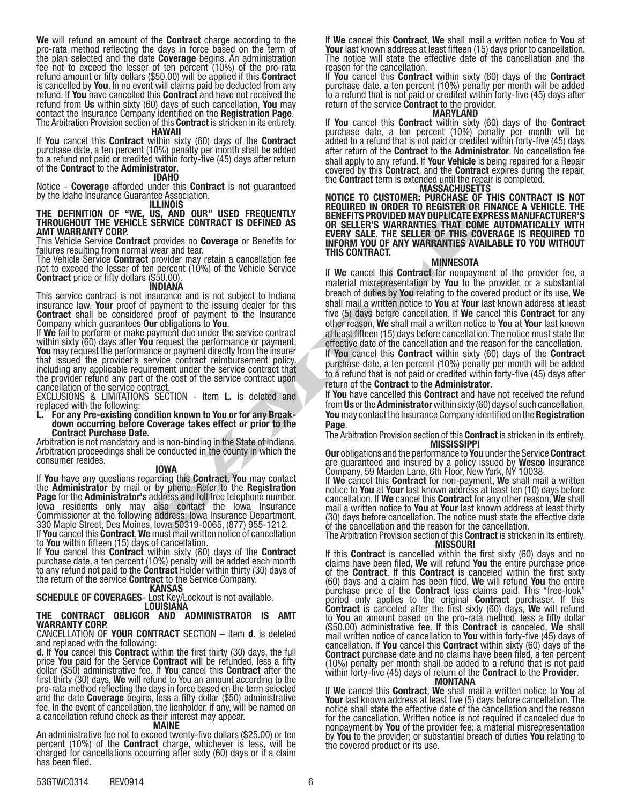We will refund an amount of the **Contract** charge according to the pro-rata method reflecting the days in force based on the term of the plan selected and the date **Coverage** begins. An administration<br>fee not to exceed the lesser of ten percent (10%) of the pro-rata refund amount or fifty dollars (\$50.00) will be applied if this **Contract** is cancelled by You. In no event will claims paid be deducted from any refund. If You have cancelled this Contract and have not received the refund from Us within sixty (60) days of such cancellation, You may contact the Insurance Company identified on the Registration Page.<br>The Arbitration Provision section of this Contract is stricken in its entirety.

## HAWAII

If You cancel this Contract within sixty (60) days of the Contract purchase date, a ten percent (10%) penalty per month shall be added to a refund not paid or credited within forty-five (45) days after return of the Contract to the Administrator. IDAHO

Notice - **Coverage** afforded under this **Contract** is not guaranteed<br>by the Idaho Insurance Guarantee Association.<br>**ILLINOIS** 

### THE DEFINITION OF "WE, US, AND OUR" USED FREQUENTLY THROUGHOUT THE VEHICLE SERVICE CONTRACT IS DEFINED AS AMT WARRANTY CORP.

This Vehicle Service **Contract** provides no **Coverage** or Benefits for

failures resulting from normal wear and tear.<br>The Vehicle Service **Contract** provider may retain a cancellation fee The Vehicle Service **Contract** provider may retain a cancellation fee<br>not to exceed the lesser of ten percent (10%) of the Vehicle Service Contract price or fifty dollars (\$50.00).

## INDIANA

This service contract is not insurance and is not subject to Indiana insurance law. Your proof of payment to the issuing dealer for this **Contract** shall be considered proof of payment to the Insurance Company which guarantees **Our** obligations to You.

If We fail to perform or make payment due under the service contract within sixty  $(60)$  days after You request the performance or payment, You may request the performance or payment directly from the insurer that issued the provider's service contract reimbursement policy, including any applicable requirement under the service contract that the provider refund any part of the cost of the service contract upon cancellation of the service contract.

EXCLUSIONS & LIMITATIONS SECTION - Item L. is deleted and replaced with the following:

# L. For any Pre-existing condition known to You or for any Break- down occurring before Coverage takes effect or prior to the Contract Purchase Date.

Arbitration is not mandatory and is non-binding in the State of Indiana. Arbitration proceedings shall be conducted in the county in which the consumer resides.

#### IOWA

If You have any questions regarding this Contract, You may contact the **Administrator** by mail or by phone. Refer to the Registration Page for the Administrator's address and toll free telephone number. Iowa residents only may also contact the Iowa Insurance Commissioner at the following address: Iowa Insurance Department, 330 Maple Street, Des Moines, Iowa 50319-0065, (877) 955-1212.

If **You** cancel this **Contract, We** must mail written notice of cancellation

to **You** within fifteen (15) days of cancellation.<br>If **You** cancel this **Contract** within sixty (60) days of the **Contract** purchase date, a ten percent (10%) penalty will be added each month to any refund not paid to the **Contract** Holder within thirty (30) days of the return of the service **Contract** to the Service Company.<br>**KANSAS** 

SCHEDULE OF COVERAGES- Lost Key/Lockout is not available. LOUISIANA

### THE CONTRACT OBLIGOR AND ADMINISTRATOR IS AMT WARRANTY CORP.

#### CANCELLATION OF YOUR CONTRACT SECTION – Item d. is deleted and replaced with the following:

d. If You cancel this Contract within the first thirty (30) days, the full price You paid for the Service Contract will be refunded, less a fifty dollar (\$50) administrative fee. If **You** cancel this **Contract** after the first thirty (30) days, **We** will refund to You an amount according to the first thirty (30) days, We first the days in force based on the term selected and the date **Coverage** begins, less a fifty dollar (\$50) administrative<br>fee. In the event of cancellation, the lienholder, if any, will be named on a cancellation refund check as their interest may appear.

#### MAINE

An administrative fee not to exceed twenty-five dollars (\$25.00) or ten percent (10%) of the Contract charge, whichever is less, will be charged for cancellations occurring after sixty (60) days or if a claim has been filed.

If We cancel this Contract, We shall mail a written notice to You at **Your** last known address at least fifteen (15) days prior to cancellation.<br>The notice will state the effective date of the cancellation and the reason for the cancellation.

If You cancel this Contract within sixty (60) days of the Contract purchase date, a ten percent (10%) penalty per month will be added to a refund that is not paid or credited within forty-five (45) days after return of the service **Contract** to the provider.

#### MARYLAND

If You cancel this Contract within sixty (60) days of the Contract purchase date, a ten percent (10%) penalty per month will be added to a refund that is not paid or credited within forty-five (45) days after return of the **Contract** to the **Administrator**. No cancellation fee shall apply to any refund. If **Your Vehicle** is being repaired for a Repair covered by this **Contract**, and the **Contract** expires during the repair, the **Contract** term is extended until the repair is completed.<br>MASSACHUSETTS

NOTICE TO CUSTOMER: PURCHASE OF THIS CONTRACT IS NOT REQUIRED IN ORDER TO REGISTER OR FINANCE A VEHICLE. THE BENEFITS PROVIDED MAY DUPLICATE EXPRESS MANUFACTURER'S OR SELLER'S WARRANTIES THAT COME AUTOMATICALLY WITH EVERY SALE. THE SELLER OF THIS COVERAGE IS REQUIRED TO INFORM YOU OF ANY WARRANTIES AVAILABLE TO YOU WITHOUT THIS CONTRACT.

#### MINNESOTA

ILLIMOISS<br>
USED ON SOLUTRID NO ORDER TO REGISTER ONE<br>
USED ON THACT IS DEFINED AS<br>
SERVICE CONTRACT IS DEFINED AS<br>
SERVICE CONTRACT IS DEFINED AS<br>
USENCE CONTRACT IS DEFINED AS<br>
WE SERVER YOUTHOUT TO THE SELLER SURVAPRENTI If We cancel this Contract for nonpayment of the provider fee, a material misrepresentation by You to the provider, or a substantial breach of duties by You relating to the covered product or its use, We shall mail a written notice to You at Your last known address at least five (5) days before cancellation. If We cancel this **Contract** for any other reason, We shall mail a written notice to You at Your last known at least fifteen (15) days before cancellation. The notice must state the effective date of the cancellation and the reason for the cancellation.

If You cancel this Contract within sixty (60) days of the Contract purchase date, a ten percent (10%) penalty per month will be added to a refund that is not paid or credited within forty-five (45) days after return of the **Contract** to the **Administrator**.

If You have cancelled this Contract and have not received the refund from Us or the Administrator within sixty (60) days of such cancellation, You may contact the Insurance Company identified on the **Registration** Page.

The Arbitration Provision section of this **Contract** is stricken in its entirety.<br>MISSISSIPPI

Our obligations and the performance to You under the Service Contract are guaranteed and insured by a policy issued by Wesco Insurance Company, 59 Maiden Lane, 6th Floor, New York, NY 10038.

If We cancel this Contract for non-payment, We shall mail a written notice to **You** at **Your** last known address at least ten (10) days before<br>cancellation. If **We** cancel this **Contract** for any other reason, **We** shall mail a written notice to You at Your last known address at least thirty (30) days before cancellation. The notice must state the effective date of the cancellation and the reason for the cancellation.<br>The Arbitration Provision section of this **Contract** is stricken in its entirety.

MISSOURI<br>If this Contract is cancelled within the first sixty (60) days and no<br>claims have been filed, We will refund You the entire purchase price of the Contract. If this Contract is canceled within the first sixty (60) days and a claim has been filed, We will refund You the entire purchase price of the **Contract** less claims paid. This "free-look" period only applies to the original **Contract** purchaser. If this<br>**Contract** is canceled after the first sixty (60) days, **We** will refund to **You** an amount based on the pro-rata method, less a fifty dollar<br>(\$50.00) administrative fee. If this **Contract** is canceled, **We** shall mail written notice of cancellation to **You** within forty-five (45) days of<br>cancellation. If **You** cancel this **Contract** within sixty (60) days of the<br>**Contract** purchase date and no claims have been filed, a ten percent **Contract** purchase date and no claims have been filed, a ten percent (10%) penalty per month shall be added to a refund that is not paid within forty-five (45) days of return of the **Contract** to the Provider.<br>MONTANA

If We cancel this Contract, We shall mail a written notice to You at Your last known address at least five (5) days before cancellation. The notice shall state the effective date of the cancellation and the reason for the cancellation. Written notice is not required if canceled due to nonpayment by You of the provider fee; a material misrepresentation by You to the provider; or substantial breach of duties You relating to the covered product or its use.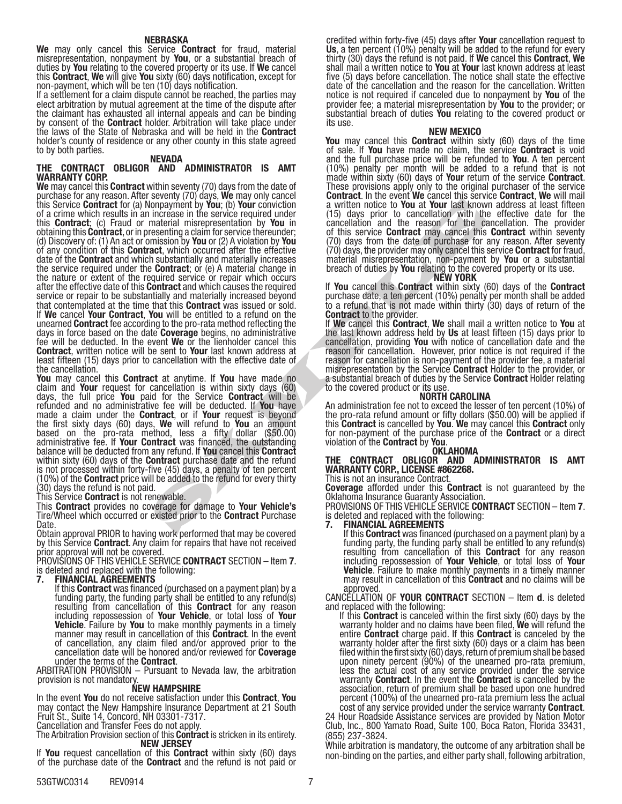### NEBRASKA

We may only cancel this Service Contract for fraud, material misrepresentation, nonpayment by You, or a substantial breach of duties by You relating to the covered property or its use. If We cancel this Contract, We will give You sixty (60) days notification, except for non-payment, which will be ten (10) days notification.

If a settlement for a claim dispute cannot be reached, the parties may elect arbitration by mutual agreement at the time of the dispute after the claimant has exhausted all internal appeals and can be binding<br>by consent of the **Contract** holder. Arbitration will take place under the laws of the State of Nebraska and will be held in the **Contract** holder's county of residence or any other county in this state agreed to by both parties.

### NEVADA

### THE CONTRACT OBLIGOR AND ADMINISTRATOR IS AMT WARRANTY CORP.

domayment by You: (b) You conviction<br>
increase in the second in the conviction and the season for the tower last<br>
increase in the season of the contract may cancel the season for the tensor<br>
increases the season for the co We may cancel this **Contract** within seventy (70) days from the date of purchase for any reason. After seventy (70) days, We may only cancel this Service **Contract** for (a) Nonpayment by **You**; (b) **Your** conviction of a crime which results in an increase in the service required under this **Contract**; (c) Fraud or material misrepresentation by You in obtaining this Contract, or in presenting a claim for service thereunder; (d) Discovery of: (1) An act or omission by You or (2) A violation by You of any condition of this Contract, which occurred after the effective date of the **Contract** and which substantially and materially increases the service required under the Contract; or (e) A material change in the nature or extent of the required service or repair which occurs after the effective date of this Contract and which causes the required service or repair to be substantially and materially increased beyond that contemplated at the time that this **Contract** was issued or sold. If We cancel Your Contract, You will be entitled to a refund on the unearned **Contract** fee according to the pro-rata method reflecting the<br>days in force based on the date **Coverage** begins, no administrative<br>fee will be deducted. In the event **We** or the lienholder cancel this Contract, written notice will be sent to Your last known address at least fifteen (15) days prior to cancellation with the effective date of the cancellation.

**You** may cancel this **Contract** at anytime. If **You** have made no claim and **Your** request for cancellation is within sixty days (60) claim and **Your** request for cancellation is within sixty days (60)<br>days, the full price **You** paid for the Service **Contract** will be refunded and no administrative fee will be deducted. If You have made a claim under the **Contract**, or if **Your** request is beyond the first sixty days (60) days, We will refund to You an amount based on the pro-rata method, less a fifty dollar (\$50.00) administrative fee. If **Your Contract** was financed, the outstanding<br>balance will be deducted from any refund. If **You** cancel this **Contract** within sixty (60) days of the **Contract** purchase date and the refund is not processed within forty-five (45) days, a penalty of ten percent (10%) of the Contract price will be added to the refund for every thirty (30) days the refund is not paid.

This Service **Contract** is not renewable.

This Contract provides no coverage for damage to Your Vehicle's Tire/Wheel which occurred or existed prior to the **Contract** Purchase Date.

Obtain approval PRIOR to having work performed that may be covered by this Service Contract. Any claim for repairs that have not received prior approval will not be covered.

PROVISIONS OF THIS VEHICLE SERVICE **CONTRACT** SECTION – Item 7. is deleted and replaced with the following:

7. FINANCIAL AGREEMENTS<br>If this Contract was financed (purchased on a payment plan) by a funding party, the funding party shall be entitled to any refund(s) resulting from cancellation of this **Contract** for any reason including repossession of Your Vehicle, or total loss of Your Vehicle. Failure by You to make monthly payments in a timely manner may result in cancellation of this **Contract**. In the event of cancellation, any claim filed and/or approved prior to the cancellation date will be honored and/or reviewed for Coverage<br>under the terms of the Contract.<br>ARBITRATION PROVISION – Pursuant to Nevada law, the arbitration

ARBITRATION PROVISION – Pursuant to Nevada law, the arbitration provision is not mandatory.<br>NEW HAMPSHIRE

In the event You do not receive satisfaction under this Contract, You may contact the New Hampshire Insurance Department at 21 South Fruit St., Suite 14, Concord, NH 03301-7317.

Cancellation and Transfer Fees do not apply.

The Arbitration Provision section of this **Contract** is stricken in its entirety.<br>NEW JERSEY

If You request cancellation of this Contract within sixty (60) days of the purchase date of the Contract and the refund is not paid or

credited within forty-five (45) days after **Your** cancellation request to **Us**, a ten percent (10%) penalty will be added to the refund for every **Us**, a ten percent (10%) penalty will be added to the refund for every<br>thirty (30) days the refund is not paid. If **We** cancel this **Contract, We** shall mail a written notice to **You** at **Your** last known address at least five (5) days before cancellation. The notice shall state the effective date of the cancellation and the reason for the cancellation. Written notice is not required if canceled due to nonpayment by You of the provider fee; a material misrepresentation by You to the provider; or substantial breach of duties You relating to the covered product or its use.

### NEW MEXICO

You may cancel this **Contract** within sixty (60) days of the time of sale. If You have made no claim, the service Contract is void and the full purchase price will be refunded to You. A ten percent (10%) penalty per month will be added to a refund that is not made within sixty (60) days of Your return of the service Contract. These provisions apply only to the original purchaser of the service **Contract**. In the event We cancel this service **Contract**, We will mail a written notice to You at Your last known address at least fifteen (15) days prior to cancellation with the effective date for the cancellation and the reason for the cancellation. The provider of this service Contract may cancel this Contract within seventy (70) days from the date of purchase for any reason. After seventy (70) days, the provider may only cancel this service **Contract** for fraud material misrepresentation, non-payment by **You** or a substantial breach of duties by **You** relating to the covered property or its use.<br>NEW YORK

If You cancel this Contract within sixty (60) days of the Contract purchase date, a ten percent (10%) penalty per month shall be added to a refund that is not made within thirty (30) days of return of the Contract to the provider.

If We cancel this Contract, We shall mail a written notice to You at the last known address held by Us at least fifteen (15) days prior to cancellation, providing You with notice of cancellation date and the reason for cancellation. However, prior notice is not required if the reason for cancellation is non-payment of the provider fee, a material<br>misrepresentation by the Service **Contract** Holder to the provider, or a substantial breach of duties by the Service Contract Holder relating to the covered product or its use.<br>**NORTH CAROLINA** 

An administration fee not to exceed the lesser of ten percent (10%) of the pro-rata refund amount or fifty dollars (\$50.00) will be applied if this **Contract** is cancelled by You. We may cancel this Contract only for non-payment of the purchase price of the **Contract** or a direct violation of the **Contract** by You.<br>**OKLAHOMA** 

## THE CONTRACT OBLIGOR AND ADMINISTRATOR IS AMT WARRANTY CORP., LICENSE #862268.

This is not an insurance Contract.

**Coverage** afforded under this **Contract** is not guaranteed by the Oklahoma Insurance Guaranty Association.

PROVISIONS OF THIS VEHICLE SERVICE **CONTRACT** SECTION – Item **7**.<br>is deleted and replaced with the following: is deleted and replaced with the following:<br>**7. FINANCIAL AGREEMENTS**<br> If this **Contract** was financed (purchased on a payment plan) by a

If this **Contract** was financed (purchased on a payment plan) by a<br>funding party, the funding party shall be entitled to any refund(s) resulting from cancellation of this **Contract** for any reason including repossession of Your Vehicle, or total loss of Your **Vehicle.** Failure to make monthly payments in a timely manner may result in cancellation of this **Contract** and no claims will be approved.

CANCELLATION OF **YOUR CONTRACT** SECTION – Item **d**. is deleted and replaced with the following:

If this **Contract** is canceled within the first sixty (60) days by the warranty holder and no claims have been filed, We will refund the entire **Contract** charge paid. If this **Contract** is canceled by the warranty holder after the first sixty (60) days or a claim has been filed within the first sixty (60) days, return of premium shall be based upon ninety percent (90%) of the unearned pro-rata premium, less the actual cost of any service provided under the service warranty **Contract**. In the event the **Contract** is cancelled by the association, return of premium shall be based upon one hundred percent (100%) of the unearned pro-rata premium less the actual<br>cost of any service provided under the service warranty **Contract**.

24 Hour Roadside Assistance services are provided by Nation Motor Club, Inc., 800 Yamato Road, Suite 100, Boca Raton, Florida 33431, (855) 237-3824.

While arbitration is mandatory, the outcome of any arbitration shall be non-binding on the parties, and either party shall, following arbitration,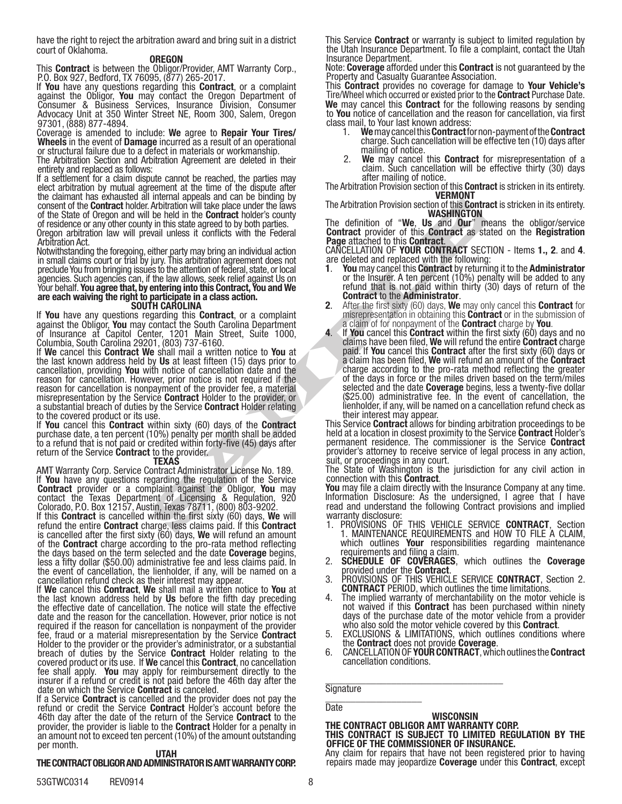have the right to reject the arbitration award and bring suit in a district court of Oklahoma.

### **OREGON**

This **Contract** is between the Obligor/Provider, AMT Warranty Corp., P.O. Box 927, Bedford, TX 76095, (877) 265-2017.<br>If **You** have any questions regarding this **Contract**, or a complaint

If You have contact the Oregon Department of Consumer & Business Services, Insurance Division, Consumer Advocacy Unit at 350 Winter Street NE, Room 300, Salem, Oregon 97301, (888) 877-4894.

Coverage is amended to include: We agree to Repair Your Tires/ Wheels in the event of Damage incurred as a result of an operational or structural failure due to a defect in materials or workmanship.

The Arbitration Section and Arbitration Agreement are deleted in their entirety and replaced as follows:

If a settlement for a claim dispute cannot be reached, the parties may elect arbitration by mutual agreement at the time of the dispute after the claimant has exhausted all internal appeals and can be binding by consent of the **Contract** holder. Arbitration will take place under the laws of the State of Oregon and will be held in the **Contract** holder's county of residence or any other county in this state agreed to by both parties.

Oregon arbitration law will prevail unless it conflicts with the Federal Arbitration Act.

Notwithstanding the foregoing, either party may bring an individual action in small claims court or trial by jury. This arbitration agreement does not preclude You from bringing issues to the attention of federal, state, or local agencies. Such agencies can, if the law allows, seek relief against Us on Your behalf. You agree that, by entering into this Contract, You and We are each waiving the right to participate in a class action.<br>SOUTH CAROLINA

If **You** have any questions regarding this **Contract**, or a complaint<br>against the Obligor, **You** may contact the South Carolina Department<br>of Insurance at Capitol Center, 1201 Main Street, Suite 1000, Columbia, South Carolina 29201, (803) 737-6160.

If We cancel this Contract We shall mail a written notice to You at the last known address held by Us at least fifteen (15) days prior to cancellation, providing You with notice of cancellation date and the reason for cancellation. However, prior notice is not required if the reason for cancellation is nonpayment of the provider fee, a material misrepresentation by the Service **Contract** Holder to the provider, or a substantial breach of duties by the Service **Contract** Holder relating to the covered product or its use.

If You cancel this Contract within sixty (60) days of the Contract purchase date, a ten percent (10%) penalty per month shall be added to a refund that is not paid or credited within forty-five (45) days after return of the Service **Contract** to the provider.

### TEXAS

AMT Warranty Corp. Service Contract Administrator License No. 189. If You have any questions regarding the regulation of the Service Contract provider or a complaint against the Obligor, You may contact the Texas Department of Licensing & Regulation, 920 Colorado, P.O. Box 12157, Austin, Texas 78711, (800) 803-9202.

If this Contract is cancelled within the first sixty (60) days, We will refund the entire **Contract** charge, less claims paid. If this **Contract** is cancelled after the first sixty  $(60)$  days, We will refund an amount of the **Contract** charge according to the pro-rata method reflecting the days based on the term selected and the date **Coverage** begins,<br>less a fifty dollar (\$50.00) administrative fee and less claims paid. In less a fifty dollar (\$50.00) administrative fee and less claims paid. In the event of cancellation, the lienholder, if any, will be named on a cancellation refund check as their interest may appear.

If We cancel this Contract, We shall mail a written notice to You at the last known address held by Us before the fifth day preceding<br>the effective date of cancellation. The notice will state the effective the effective date of cancellation. The notice will state the effective date and the reason for the cancellation. However, prior notice is not required if the reason for cancellation is nonpayment of the provider fee, fraud or a material misrepresentation by the Service Contract Holder to the provider or the provider's administrator, or a substantial breach of duties by the Service **Contract** Holder relating to the covered product or its use. If We cancel this Contract, no cancellation fee shall apply. You may apply for reimbursement directly to the insurer if a refund or credit is not paid before the 46th day after the

date on which the Service **Contract** is canceled.<br>If a Service **Contract** is cancelled and the provider does not pay the refund or credit the Service Contract Holder's account before the 46th day after the date of the return of the Service **Contract** to the provider, the provider is liable to the Contract Holder for a penalty in an amount not to exceed ten percent (10%) of the amount outstanding per month.

#### UTAH

## THE CONTRACT OBLIGOR AND ADMINISTRATOR IS AMT WARRANTY CORP.

53GTWC0314 REV0914 8

This Service Contract or warranty is subject to limited regulation by the Utah Insurance Department. To file a complaint, contact the Utah Insurance Department.

Note: Coverage afforded under this Contract is not guaranteed by the Property and Casualty Guarantee Association.

This **Contract** provides no coverage for damage to **Your Vehicle's** Tire/Wheel which occurred or existed prior to the **Contract** Purchase Date. We may cancel this Contract for the following reasons by sending to You notice of cancellation and the reason for cancellation, via first class mail, to Your last known address:

- 1. We may cancel this Contract for non-payment of the Contract charge. Such cancellation will be effective ten (10) days after mailing of notice.
- 2. We may cancel this **Contract** for misrepresentation of a claim. Such cancellation will be effective thirty (30) days after mailing of notice.

The Arbitration Provision section of this **Contract** is stricken in its entirety.<br>**VERMONT** 

The Arbitration Provision section of this **Contract** is stricken in its entirety.<br>WASHINGTON

The definition of "We, Us and Our" means the obligor/service Contract provider of this Contract as stated on the Registration Page attached to this Contract.

CANCELLATION OF YOUR CONTRACT SECTION - Items 1., 2. and 4. are deleted and replaced with the following:

- You may cancel this Contract by returning it to the Administrator or the Insurer. A ten percent (10%) penalty will be added to any refund that is not paid within thirty (30) days of return of the
- **Contract to the Administrator.** 2. After the first sixty (60) days, We may only cancel this **Contract** for misrepresentation in obtaining this **Contract** or in the submission of
- Noting appears and care is made in the contract holders of the Belinding of the Belinding of the Belinding of the Belinding of the Belinding of the Belinding of the Belinding and individual action CANGELIATION OF **POINT C** a claim of for nonpayment of the **Contract** charge by **You**.<br>If **You** cancel this **Contract** within the first sixty (60) days and no claims have been filed, We will refund the entire **Contract** charge paid. If **You** cance charge according to the pro-rata method reflecting the greater of the days in force or the miles driven based on the term/miles selected and the date **Coverage** begins, less a twenty-five dollar (\$25.00) administrative fee. In the event of cancellation, the lienholder, if any, will be named on a cancellation refund check as

This Service Contract allows for binding arbitration proceedings to be held at a location in closest proximity to the Service Contract Holder's permanent residence. The commissioner is the Service Contract provider's attorney to receive service of legal process in any action, suit, or proceedings in any court.

The State of Washington is the jurisdiction for any civil action in

connection with this **Contract**.<br>You may file a claim directly with the Insurance Company at any time. Information Disclosure: As the undersigned, I agree that I have read and understand the following Contract provisions and implied warranty disclosure:

- 1. PROVISIONS OF THIS VEHICLE SERVICE CONTRACT, Section 1. MAINTENANCE REQUIREMENTS and HOW TO FILE A CLAIM, which outlines **Your** responsibilities regarding maintenance<br>requirements and filing a claim.
- requirements and filing a claim.<br>2. **SCHEDULE OF COVERAGES**, which outlines the Coverage<br>provided under the Contract.
- 3. PROVISIONS OF THIS VEHICLE SERVICE CONTRACT, Section 2. CONTRACT PERIOD, which outlines the time limitations.
- 4. The implied warranty of merchantability on the motor vehicle is not waived if this **Contract** has been purchased within ninety days of the purchase date of the motor vehicle from a provider
- who also sold the motor vehicle covered by this **Contract**.<br>5. EXCLUSIONS & LIMITATIONS, which outlines conditions where 5. EXCLUSIONS & LIMITATIONS, which outlines conditions where<br>the **Contract** does not provide **Coverage**.<br>6. CANCELLATION OF YOUR CONTRACT, which outlines the Contract
- cancellation conditions.

\_\_\_\_\_\_\_\_\_\_\_\_\_\_\_\_\_\_\_\_\_\_\_\_\_\_\_\_\_\_\_\_\_\_\_ **Signature** \_\_\_\_\_\_\_\_\_\_\_\_\_\_\_\_\_\_\_

## **Date**

# **WISCONSIN** THE CONTRACT OBLIGOR AMT WARRANTY CORP.<br>THIS CONTRACT IS SUBJECT TO LIMITED REGULATION BY THE OFFICE OF THE COMMISSIONER OF INSURANCE.

Any claim for repairs that have not been registered prior to having repairs made may jeopardize Coverage under this Contract, except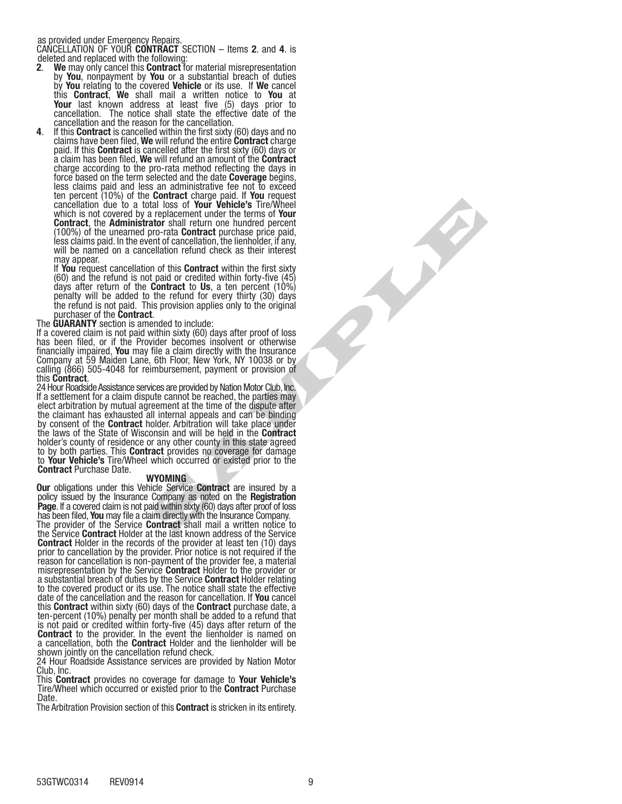as provided under Emergency Repairs.

CANCELLATION OF YOUR CONTRACT SECTION – Items 2. and 4. is deleted and replaced with the following:

- 2. We may only cancel this Contract for material misrepresentation by You, nonpayment by You or a substantial breach of duties by You relating to the covered Vehicle or its use. If We cancel this **Contract**, We shall mail a written notice to You at Your last known address at least five (5) days prior to cancellation. The notice shall state the effective date of the
- cancellation and the reason for the cancellation.<br>If this **Contract** is cancelled within the first sixty (60) days and no<br>claims have been filed, **We** will refund the entire **Contract** charge paid. If this **Contract** is cancelled after the first sixty (60) days or<br>a claim has been filed, We will refund an amount of the **Contract** charge according to the pro-rata method reflecting the days in force based on the term selected and the date **Coverage** begins, force based on the term selected and the date **Coverage** begins,<br>less claims paid and less an administrative fee not to exceed ten percent (10%) of the **Contract** charge paid. If **You** request cancellation due to a total loss of Your Vehicle's Tire/Wheel which is not covered by a replacement under the terms of Your Contract, the Administrator shall return one hundred percent (100%) of the unearned pro-rata **Contract** purchase price paid, less claims paid. In the event of cancellation, the lienholder, if any, will be named on a cancellation refund check as their interest may appear.

If You request cancellation of this Contract within the first sixty (60) and the refund is not paid or credited within forty-five (45) days after return of the **Contract** to Us, a ten percent (10%) days after return of the **Contract** to **Us**, a ten percent (10%)<br>penalty will be added to the refund for every thirty (30) days the refund is not paid. This provision applies only to the original

purchaser of the **Contract**.<br>The **GUARANTY** section is amended to include:

The **GUARANTY** section is amended to include:<br>If a covered claim is not paid within sixty (60) days after proof of loss has been filed, or if the Provider becomes insolvent or otherwise financially impaired, You may file a claim directly with the Insurance Company at 59 Maiden Lane, 6th Floor, New York, NY 10038 or by calling (866) 505-4048 for reimbursement, payment or provision of this **Contract**.

tal loss of Your Vehicle's Tire/Wheel<br>
rate and reducement under the terms of Your Vehicle's The Wheel<br>
atom shall return one hundred percent<br>
atom shall return one hundred percent<br>
end contract within the first state.<br>
Ce 24 Hour Roadside Assistance services are provided by Nation Motor Club, Inc. If a settlement for a claim dispute cannot be reached, the parties may elect arbitration by mutual agreement at the time of the dispute after the claimant has exhausted all internal appeals and can be binding by consent of the **Contract** holder. Arbitration will take place under<br>the laws of the State of Wisconsin and will be held in the **Contract** the laws of the State of Wisconsin and will be held in the **Contract**<br>holder's county of residence or any other county in this state agreed to by both parties. This **Contract** provides no coverage for damage to **Your Vehicle's** Tire/Wheel which occurred or existed prior to the<br>**Contract** Purchase Date.

### WYOMING

**Our** obligations under this Vehicle Service **Contract** are insured by a policy issued by the Insurance Company as noted on the **Registration** Page. If a covered claim is not paid within sixty (60) days after proof of loss<br>has been filed, You may file a claim directly with the Insurance Company.<br>The provider of the Service Contract shall mail a written notice to

the Service Contract Holder at the last known address of the Service **Contract** Holder in the records of the provider at least ten (10) days prior to cancellation by the provider. Prior notice is not required if the reason for cancellation is non-payment of the provider fee, a material misrepresentation by the Service **Contract** Holder to the provider or a substantial breach of duties by the Service **Contract** Holder relating to the covered product or its use. The notice shall state the effective date of the cancellation and the reason for cancellation. If You cancel this **Contract** within sixty (60) days of the **Contract** purchase date, a ten-percent (10%) penalty per month shall be added to a refund that is not paid or credited within forty-five (45) days after return of the **Contract** to the provider. In the event the lienholder is named on a cancellation, both the Contract Holder and the lienholder will be shown jointly on the cancellation refund check.

24 Hour Roadside Assistance services are provided by Nation Motor Club, Inc.

This **Contract** provides no coverage for damage to **Your Vehicle's** Tire/Wheel which occurred or existed prior to the Contract Purchase Date.

The Arbitration Provision section of this **Contract** is stricken in its entirety.